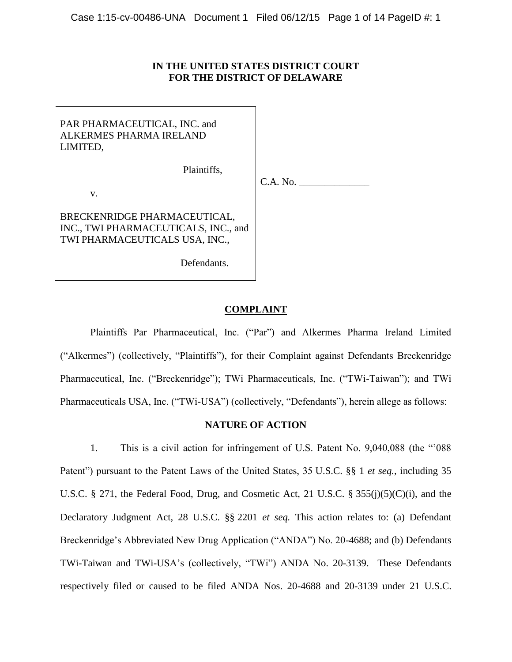# **IN THE UNITED STATES DISTRICT COURT FOR THE DISTRICT OF DELAWARE**

| PAR PHARMACEUTICAL, INC. and<br>ALKERMES PHARMA IRELAND<br>LIMITED,                                    |          |
|--------------------------------------------------------------------------------------------------------|----------|
| Plaintiffs,                                                                                            |          |
|                                                                                                        | C.A. No. |
| V.                                                                                                     |          |
| BRECKENRIDGE PHARMACEUTICAL,<br>INC., TWI PHARMACEUTICALS, INC., and<br>TWI PHARMACEUTICALS USA, INC., |          |
| Defendants.                                                                                            |          |

# **COMPLAINT**

Plaintiffs Par Pharmaceutical, Inc. ("Par") and Alkermes Pharma Ireland Limited ("Alkermes") (collectively, "Plaintiffs"), for their Complaint against Defendants Breckenridge Pharmaceutical, Inc. ("Breckenridge"); TWi Pharmaceuticals, Inc. ("TWi-Taiwan"); and TWi Pharmaceuticals USA, Inc. ("TWi-USA") (collectively, "Defendants"), herein allege as follows:

## **NATURE OF ACTION**

<span id="page-0-0"></span>1. This is a civil action for infringement of U.S. Patent No. 9,040,088 (the "'088 Patent") pursuant to the Patent Laws of the United States, 35 U.S.C. §§ 1 *et seq.*, including 35 U.S.C. § 271, the Federal Food, Drug, and Cosmetic Act, 21 U.S.C. § 355(j)(5)(C)(i), and the Declaratory Judgment Act, 28 U.S.C. §§ 2201 *et seq.* This action relates to: (a) Defendant Breckenridge's Abbreviated New Drug Application ("ANDA") No. 20-4688; and (b) Defendants TWi-Taiwan and TWi-USA's (collectively, "TWi") ANDA No. 20-3139. These Defendants respectively filed or caused to be filed ANDA Nos. 20-4688 and 20-3139 under 21 U.S.C.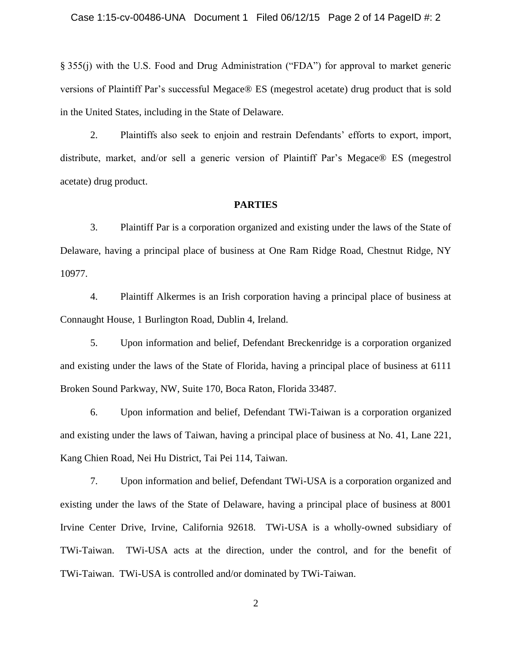§ 355(j) with the U.S. Food and Drug Administration ("FDA") for approval to market generic versions of Plaintiff Par's successful Megace® ES (megestrol acetate) drug product that is sold in the United States, including in the State of Delaware.

2. Plaintiffs also seek to enjoin and restrain Defendants' efforts to export, import, distribute, market, and/or sell a generic version of Plaintiff Par's Megace® ES (megestrol acetate) drug product.

#### **PARTIES**

3. Plaintiff Par is a corporation organized and existing under the laws of the State of Delaware, having a principal place of business at One Ram Ridge Road, Chestnut Ridge, NY 10977.

4. Plaintiff Alkermes is an Irish corporation having a principal place of business at Connaught House, 1 Burlington Road, Dublin 4, Ireland.

5. Upon information and belief, Defendant Breckenridge is a corporation organized and existing under the laws of the State of Florida, having a principal place of business at 6111 Broken Sound Parkway, NW, Suite 170, Boca Raton, Florida 33487.

6. Upon information and belief, Defendant TWi-Taiwan is a corporation organized and existing under the laws of Taiwan, having a principal place of business at No. 41, Lane 221, Kang Chien Road, Nei Hu District, Tai Pei 114, Taiwan.

7. Upon information and belief, Defendant TWi-USA is a corporation organized and existing under the laws of the State of Delaware, having a principal place of business at 8001 Irvine Center Drive, Irvine, California 92618. TWi-USA is a wholly-owned subsidiary of TWi-Taiwan. TWi-USA acts at the direction, under the control, and for the benefit of TWi-Taiwan. TWi-USA is controlled and/or dominated by TWi-Taiwan.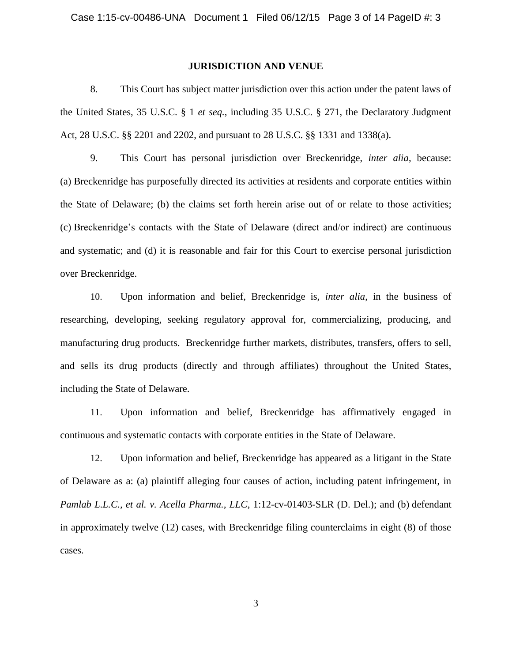#### **JURISDICTION AND VENUE**

8. This Court has subject matter jurisdiction over this action under the patent laws of the United States, 35 U.S.C. § 1 *et seq.*, including 35 U.S.C. § 271, the Declaratory Judgment Act, 28 U.S.C. §§ 2201 and 2202, and pursuant to 28 U.S.C. §§ 1331 and 1338(a).

9. This Court has personal jurisdiction over Breckenridge, *inter alia*, because: (a) Breckenridge has purposefully directed its activities at residents and corporate entities within the State of Delaware; (b) the claims set forth herein arise out of or relate to those activities; (c) Breckenridge's contacts with the State of Delaware (direct and/or indirect) are continuous and systematic; and (d) it is reasonable and fair for this Court to exercise personal jurisdiction over Breckenridge.

10. Upon information and belief, Breckenridge is, *inter alia*, in the business of researching, developing, seeking regulatory approval for, commercializing, producing, and manufacturing drug products. Breckenridge further markets, distributes, transfers, offers to sell, and sells its drug products (directly and through affiliates) throughout the United States, including the State of Delaware.

11. Upon information and belief, Breckenridge has affirmatively engaged in continuous and systematic contacts with corporate entities in the State of Delaware.

12. Upon information and belief, Breckenridge has appeared as a litigant in the State of Delaware as a: (a) plaintiff alleging four causes of action, including patent infringement, in *Pamlab L.L.C., et al. v. Acella Pharma., LLC*, 1:12-cv-01403-SLR (D. Del.); and (b) defendant in approximately twelve (12) cases, with Breckenridge filing counterclaims in eight (8) of those cases.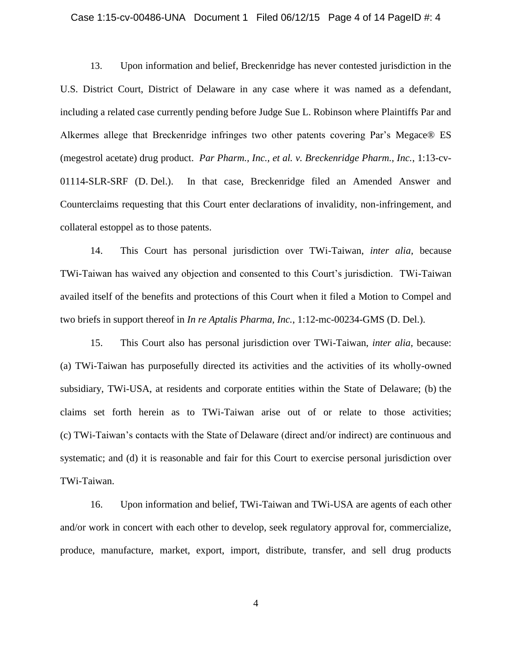#### Case 1:15-cv-00486-UNA Document 1 Filed 06/12/15 Page 4 of 14 PageID #: 4

13. Upon information and belief, Breckenridge has never contested jurisdiction in the U.S. District Court, District of Delaware in any case where it was named as a defendant, including a related case currently pending before Judge Sue L. Robinson where Plaintiffs Par and Alkermes allege that Breckenridge infringes two other patents covering Par's Megace® ES (megestrol acetate) drug product. *Par Pharm., Inc., et al. v. Breckenridge Pharm., Inc.*, 1:13-cv-01114-SLR-SRF (D. Del.). In that case, Breckenridge filed an Amended Answer and Counterclaims requesting that this Court enter declarations of invalidity, non-infringement, and collateral estoppel as to those patents.

<span id="page-3-0"></span>14. This Court has personal jurisdiction over TWi-Taiwan, *inter alia*, because TWi-Taiwan has waived any objection and consented to this Court's jurisdiction. TWi-Taiwan availed itself of the benefits and protections of this Court when it filed a Motion to Compel and two briefs in support thereof in *In re Aptalis Pharma, Inc.*, 1:12-mc-00234-GMS (D. Del.).

15. This Court also has personal jurisdiction over TWi-Taiwan, *inter alia*, because: (a) TWi-Taiwan has purposefully directed its activities and the activities of its wholly-owned subsidiary, TWi-USA, at residents and corporate entities within the State of Delaware; (b) the claims set forth herein as to TWi-Taiwan arise out of or relate to those activities; (c) TWi-Taiwan's contacts with the State of Delaware (direct and/or indirect) are continuous and systematic; and (d) it is reasonable and fair for this Court to exercise personal jurisdiction over TWi-Taiwan.

16. Upon information and belief, TWi-Taiwan and TWi-USA are agents of each other and/or work in concert with each other to develop, seek regulatory approval for, commercialize, produce, manufacture, market, export, import, distribute, transfer, and sell drug products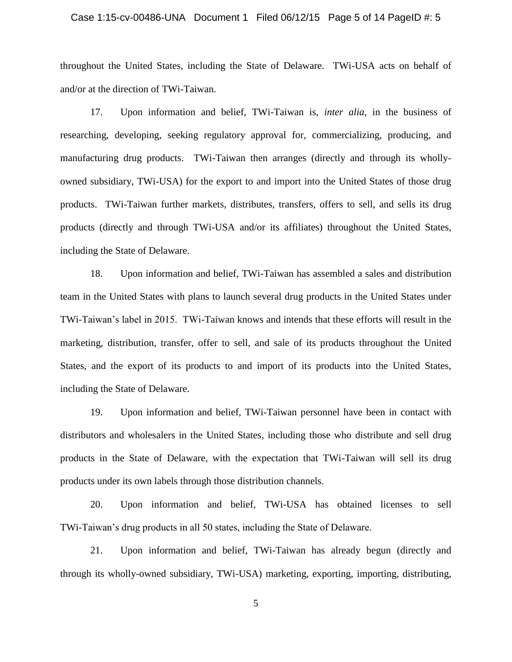#### Case 1:15-cv-00486-UNA Document 1 Filed 06/12/15 Page 5 of 14 PageID #: 5

throughout the United States, including the State of Delaware. TWi-USA acts on behalf of and/or at the direction of TWi-Taiwan.

17. Upon information and belief, TWi-Taiwan is, *inter alia*, in the business of researching, developing, seeking regulatory approval for, commercializing, producing, and manufacturing drug products. TWi-Taiwan then arranges (directly and through its whollyowned subsidiary, TWi-USA) for the export to and import into the United States of those drug products. TWi-Taiwan further markets, distributes, transfers, offers to sell, and sells its drug products (directly and through TWi-USA and/or its affiliates) throughout the United States, including the State of Delaware.

18. Upon information and belief, TWi-Taiwan has assembled a sales and distribution team in the United States with plans to launch several drug products in the United States under TWi-Taiwan's label in 2015. TWi-Taiwan knows and intends that these efforts will result in the marketing, distribution, transfer, offer to sell, and sale of its products throughout the United States, and the export of its products to and import of its products into the United States, including the State of Delaware.

19. Upon information and belief, TWi-Taiwan personnel have been in contact with distributors and wholesalers in the United States, including those who distribute and sell drug products in the State of Delaware, with the expectation that TWi-Taiwan will sell its drug products under its own labels through those distribution channels.

20. Upon information and belief, TWi-USA has obtained licenses to sell TWi-Taiwan's drug products in all 50 states, including the State of Delaware.

21. Upon information and belief, TWi-Taiwan has already begun (directly and through its wholly-owned subsidiary, TWi-USA) marketing, exporting, importing, distributing,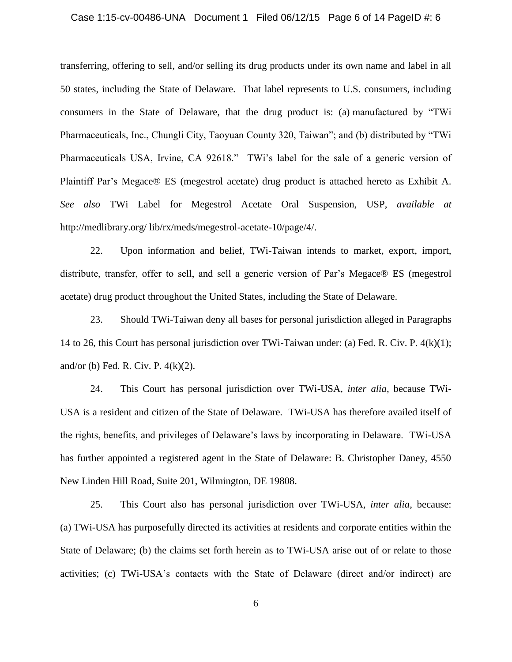#### Case 1:15-cv-00486-UNA Document 1 Filed 06/12/15 Page 6 of 14 PageID #: 6

transferring, offering to sell, and/or selling its drug products under its own name and label in all 50 states, including the State of Delaware. That label represents to U.S. consumers, including consumers in the State of Delaware, that the drug product is: (a) manufactured by "TWi Pharmaceuticals, Inc., Chungli City, Taoyuan County 320, Taiwan"; and (b) distributed by "TWi Pharmaceuticals USA, Irvine, CA 92618." TWi's label for the sale of a generic version of Plaintiff Par's Megace® ES (megestrol acetate) drug product is attached hereto as Exhibit A. *See also* TWi Label for Megestrol Acetate Oral Suspension, USP, *available at* http://medlibrary.org/ lib/rx/meds/megestrol-acetate-10/page/4/.

22. Upon information and belief, TWi-Taiwan intends to market, export, import, distribute, transfer, offer to sell, and sell a generic version of Par's Megace® ES (megestrol acetate) drug product throughout the United States, including the State of Delaware.

23. Should TWi-Taiwan deny all bases for personal jurisdiction alleged in Paragraphs [14](#page-3-0) to [26,](#page-6-0) this Court has personal jurisdiction over TWi-Taiwan under: (a) Fed. R. Civ. P. 4(k)(1); and/or (b) Fed. R. Civ. P.  $4(k)(2)$ .

24. This Court has personal jurisdiction over TWi-USA, *inter alia*, because TWi-USA is a resident and citizen of the State of Delaware. TWi-USA has therefore availed itself of the rights, benefits, and privileges of Delaware's laws by incorporating in Delaware. TWi-USA has further appointed a registered agent in the State of Delaware: B. Christopher Daney, 4550 New Linden Hill Road, Suite 201, Wilmington, DE 19808.

25. This Court also has personal jurisdiction over TWi-USA, *inter alia*, because: (a) TWi-USA has purposefully directed its activities at residents and corporate entities within the State of Delaware; (b) the claims set forth herein as to TWi-USA arise out of or relate to those activities; (c) TWi-USA's contacts with the State of Delaware (direct and/or indirect) are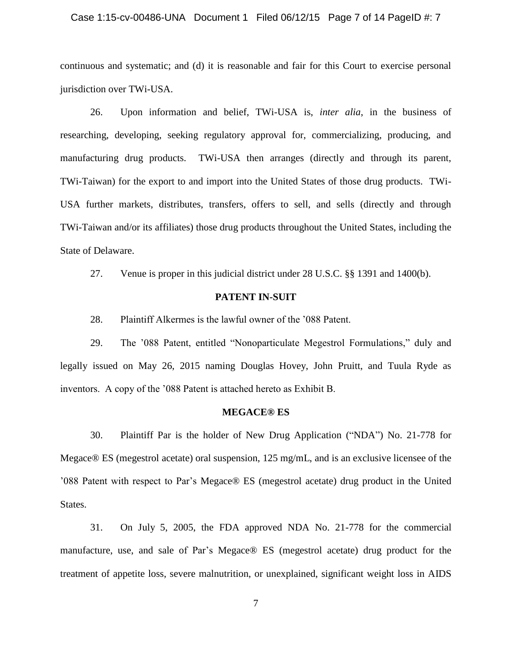#### Case 1:15-cv-00486-UNA Document 1 Filed 06/12/15 Page 7 of 14 PageID #: 7

continuous and systematic; and (d) it is reasonable and fair for this Court to exercise personal jurisdiction over TWi-USA.

<span id="page-6-0"></span>26. Upon information and belief, TWi-USA is, *inter alia*, in the business of researching, developing, seeking regulatory approval for, commercializing, producing, and manufacturing drug products. TWi-USA then arranges (directly and through its parent, TWi-Taiwan) for the export to and import into the United States of those drug products. TWi-USA further markets, distributes, transfers, offers to sell, and sells (directly and through TWi-Taiwan and/or its affiliates) those drug products throughout the United States, including the State of Delaware.

27. Venue is proper in this judicial district under 28 U.S.C. §§ 1391 and 1400(b).

#### **PATENT IN-SUIT**

28. Plaintiff Alkermes is the lawful owner of the '088 Patent.

29. The '088 Patent, entitled "Nonoparticulate Megestrol Formulations," duly and legally issued on May 26, 2015 naming Douglas Hovey, John Pruitt, and Tuula Ryde as inventors. A copy of the '088 Patent is attached hereto as Exhibit B.

#### **MEGACE® ES**

30. Plaintiff Par is the holder of New Drug Application ("NDA") No. 21-778 for Megace® ES (megestrol acetate) oral suspension, 125 mg/mL, and is an exclusive licensee of the '088 Patent with respect to Par's Megace® ES (megestrol acetate) drug product in the United States.

31. On July 5, 2005, the FDA approved NDA No. 21-778 for the commercial manufacture, use, and sale of Par's Megace® ES (megestrol acetate) drug product for the treatment of appetite loss, severe malnutrition, or unexplained, significant weight loss in AIDS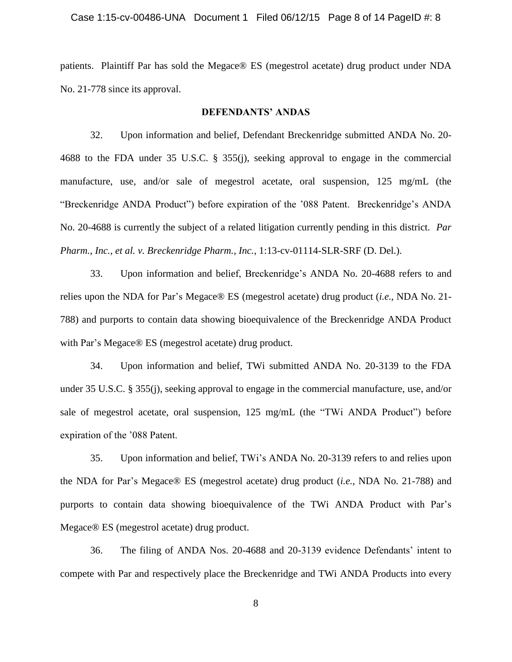patients. Plaintiff Par has sold the Megace® ES (megestrol acetate) drug product under NDA No. 21-778 since its approval.

#### **DEFENDANTS' ANDAS**

32. Upon information and belief, Defendant Breckenridge submitted ANDA No. 20- 4688 to the FDA under 35 U.S.C. § 355(j), seeking approval to engage in the commercial manufacture, use, and/or sale of megestrol acetate, oral suspension, 125 mg/mL (the "Breckenridge ANDA Product") before expiration of the '088 Patent. Breckenridge's ANDA No. 20-4688 is currently the subject of a related litigation currently pending in this district. *Par Pharm., Inc., et al. v. Breckenridge Pharm., Inc.*, 1:13-cv-01114-SLR-SRF (D. Del.).

33. Upon information and belief, Breckenridge's ANDA No. 20-4688 refers to and relies upon the NDA for Par's Megace® ES (megestrol acetate) drug product (*i.e.*, NDA No. 21- 788) and purports to contain data showing bioequivalence of the Breckenridge ANDA Product with Par's Megace® ES (megestrol acetate) drug product.

34. Upon information and belief, TWi submitted ANDA No. 20-3139 to the FDA under 35 U.S.C. § 355(j), seeking approval to engage in the commercial manufacture, use, and/or sale of megestrol acetate, oral suspension, 125 mg/mL (the "TWi ANDA Product") before expiration of the '088 Patent.

35. Upon information and belief, TWi's ANDA No. 20-3139 refers to and relies upon the NDA for Par's Megace® ES (megestrol acetate) drug product (*i.e.*, NDA No. 21-788) and purports to contain data showing bioequivalence of the TWi ANDA Product with Par's Megace® ES (megestrol acetate) drug product.

<span id="page-7-0"></span>36. The filing of ANDA Nos. 20-4688 and 20-3139 evidence Defendants' intent to compete with Par and respectively place the Breckenridge and TWi ANDA Products into every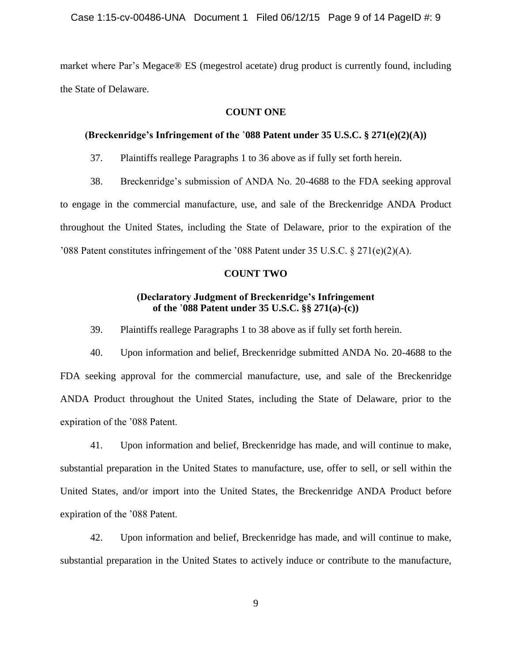market where Par's Megace® ES (megestrol acetate) drug product is currently found, including the State of Delaware.

## **COUNT ONE**

## **(Breckenridge's Infringement of the** '**088 Patent under 35 U.S.C. § 271(e)(2)(A))**

37. Plaintiffs reallege Paragraphs [1](#page-0-0) to [36](#page-7-0) above as if fully set forth herein.

<span id="page-8-0"></span>38. Breckenridge's submission of ANDA No. 20-4688 to the FDA seeking approval to engage in the commercial manufacture, use, and sale of the Breckenridge ANDA Product throughout the United States, including the State of Delaware, prior to the expiration of the '088 Patent constitutes infringement of the '088 Patent under 35 U.S.C. § 271(e)(2)(A).

#### **COUNT TWO**

## **(Declaratory Judgment of Breckenridge's Infringement of the** '**088 Patent under 35 U.S.C. §§ 271(a)-(c))**

39. Plaintiffs reallege Paragraphs [1](#page-0-0) to [38](#page-8-0) above as if fully set forth herein.

40. Upon information and belief, Breckenridge submitted ANDA No. 20-4688 to the FDA seeking approval for the commercial manufacture, use, and sale of the Breckenridge ANDA Product throughout the United States, including the State of Delaware, prior to the expiration of the '088 Patent.

41. Upon information and belief, Breckenridge has made, and will continue to make, substantial preparation in the United States to manufacture, use, offer to sell, or sell within the United States, and/or import into the United States, the Breckenridge ANDA Product before expiration of the '088 Patent.

42. Upon information and belief, Breckenridge has made, and will continue to make, substantial preparation in the United States to actively induce or contribute to the manufacture,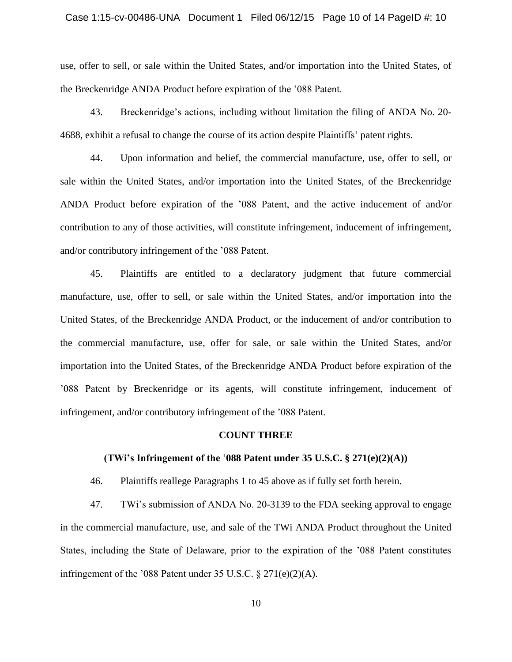#### Case 1:15-cv-00486-UNA Document 1 Filed 06/12/15 Page 10 of 14 PageID #: 10

use, offer to sell, or sale within the United States, and/or importation into the United States, of the Breckenridge ANDA Product before expiration of the '088 Patent.

43. Breckenridge's actions, including without limitation the filing of ANDA No. 20- 4688, exhibit a refusal to change the course of its action despite Plaintiffs' patent rights.

44. Upon information and belief, the commercial manufacture, use, offer to sell, or sale within the United States, and/or importation into the United States, of the Breckenridge ANDA Product before expiration of the '088 Patent, and the active inducement of and/or contribution to any of those activities, will constitute infringement, inducement of infringement, and/or contributory infringement of the '088 Patent.

<span id="page-9-0"></span>45. Plaintiffs are entitled to a declaratory judgment that future commercial manufacture, use, offer to sell, or sale within the United States, and/or importation into the United States, of the Breckenridge ANDA Product, or the inducement of and/or contribution to the commercial manufacture, use, offer for sale, or sale within the United States, and/or importation into the United States, of the Breckenridge ANDA Product before expiration of the '088 Patent by Breckenridge or its agents, will constitute infringement, inducement of infringement, and/or contributory infringement of the '088 Patent.

#### **COUNT THREE**

#### **(TWi's Infringement of the** '**088 Patent under 35 U.S.C. § 271(e)(2)(A))**

46. Plaintiffs reallege Paragraphs [1](#page-0-0) to [45](#page-9-0) above as if fully set forth herein.

<span id="page-9-1"></span>47. TWi's submission of ANDA No. 20-3139 to the FDA seeking approval to engage in the commercial manufacture, use, and sale of the TWi ANDA Product throughout the United States, including the State of Delaware, prior to the expiration of the '088 Patent constitutes infringement of the '088 Patent under 35 U.S.C. § 271(e)(2)(A).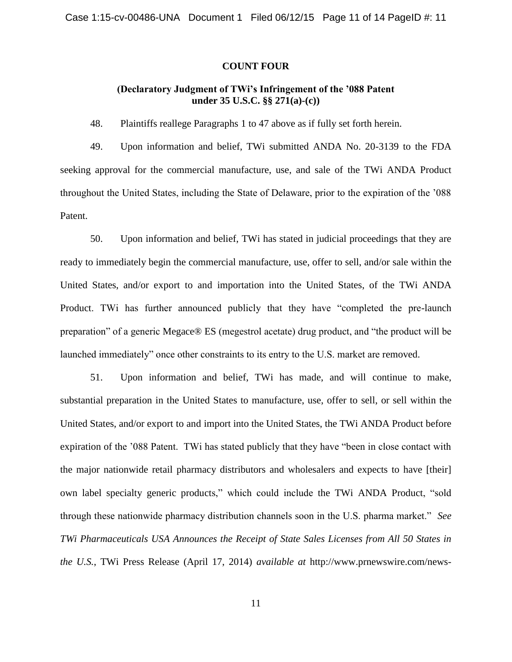#### **COUNT FOUR**

# **(Declaratory Judgment of TWi's Infringement of the '088 Patent under 35 U.S.C. §§ 271(a)-(c))**

48. Plaintiffs reallege Paragraphs [1](#page-0-0) to [47](#page-9-1) above as if fully set forth herein.

49. Upon information and belief, TWi submitted ANDA No. 20-3139 to the FDA seeking approval for the commercial manufacture, use, and sale of the TWi ANDA Product throughout the United States, including the State of Delaware, prior to the expiration of the '088 Patent.

50. Upon information and belief, TWi has stated in judicial proceedings that they are ready to immediately begin the commercial manufacture, use, offer to sell, and/or sale within the United States, and/or export to and importation into the United States, of the TWi ANDA Product. TWi has further announced publicly that they have "completed the pre-launch preparation" of a generic Megace® ES (megestrol acetate) drug product, and "the product will be launched immediately" once other constraints to its entry to the U.S. market are removed.

51. Upon information and belief, TWi has made, and will continue to make, substantial preparation in the United States to manufacture, use, offer to sell, or sell within the United States, and/or export to and import into the United States, the TWi ANDA Product before expiration of the '088 Patent. TWi has stated publicly that they have "been in close contact with the major nationwide retail pharmacy distributors and wholesalers and expects to have [their] own label specialty generic products," which could include the TWi ANDA Product, "sold through these nationwide pharmacy distribution channels soon in the U.S. pharma market." *See TWi Pharmaceuticals USA Announces the Receipt of State Sales Licenses from All 50 States in the U.S.*, TWi Press Release (April 17, 2014) *available at* http://www.prnewswire.com/news-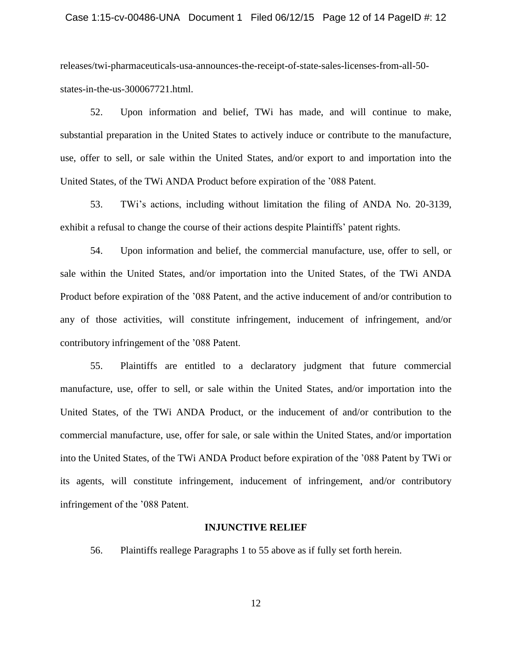#### Case 1:15-cv-00486-UNA Document 1 Filed 06/12/15 Page 12 of 14 PageID #: 12

releases/twi-pharmaceuticals-usa-announces-the-receipt-of-state-sales-licenses-from-all-50 states-in-the-us-300067721.html.

52. Upon information and belief, TWi has made, and will continue to make, substantial preparation in the United States to actively induce or contribute to the manufacture, use, offer to sell, or sale within the United States, and/or export to and importation into the United States, of the TWi ANDA Product before expiration of the '088 Patent.

53. TWi's actions, including without limitation the filing of ANDA No. 20-3139, exhibit a refusal to change the course of their actions despite Plaintiffs' patent rights.

54. Upon information and belief, the commercial manufacture, use, offer to sell, or sale within the United States, and/or importation into the United States, of the TWi ANDA Product before expiration of the '088 Patent, and the active inducement of and/or contribution to any of those activities, will constitute infringement, inducement of infringement, and/or contributory infringement of the '088 Patent.

<span id="page-11-0"></span>55. Plaintiffs are entitled to a declaratory judgment that future commercial manufacture, use, offer to sell, or sale within the United States, and/or importation into the United States, of the TWi ANDA Product, or the inducement of and/or contribution to the commercial manufacture, use, offer for sale, or sale within the United States, and/or importation into the United States, of the TWi ANDA Product before expiration of the '088 Patent by TWi or its agents, will constitute infringement, inducement of infringement, and/or contributory infringement of the '088 Patent.

#### **INJUNCTIVE RELIEF**

56. Plaintiffs reallege Paragraphs [1](#page-0-0) to [55](#page-11-0) above as if fully set forth herein.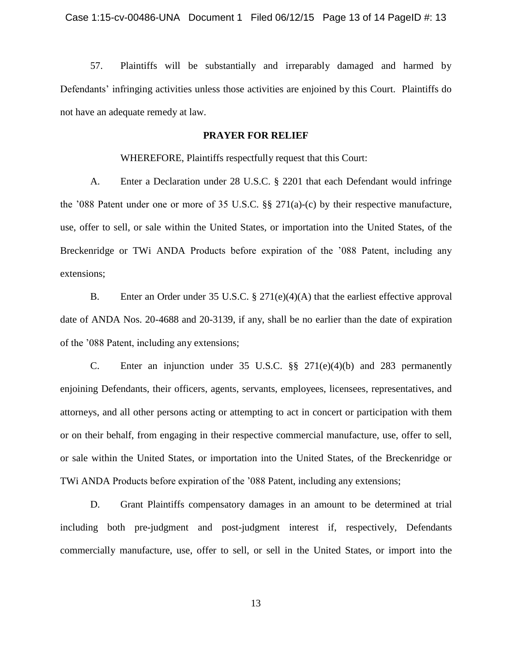57. Plaintiffs will be substantially and irreparably damaged and harmed by Defendants' infringing activities unless those activities are enjoined by this Court. Plaintiffs do not have an adequate remedy at law.

## **PRAYER FOR RELIEF**

WHEREFORE, Plaintiffs respectfully request that this Court:

A. Enter a Declaration under 28 U.S.C. § 2201 that each Defendant would infringe the '088 Patent under one or more of 35 U.S.C. §§ 271(a)-(c) by their respective manufacture, use, offer to sell, or sale within the United States, or importation into the United States, of the Breckenridge or TWi ANDA Products before expiration of the '088 Patent, including any extensions;

B. Enter an Order under 35 U.S.C. § 271(e)(4)(A) that the earliest effective approval date of ANDA Nos. 20-4688 and 20-3139, if any, shall be no earlier than the date of expiration of the '088 Patent, including any extensions;

C. Enter an injunction under 35 U.S.C. §§ 271(e)(4)(b) and 283 permanently enjoining Defendants, their officers, agents, servants, employees, licensees, representatives, and attorneys, and all other persons acting or attempting to act in concert or participation with them or on their behalf, from engaging in their respective commercial manufacture, use, offer to sell, or sale within the United States, or importation into the United States, of the Breckenridge or TWi ANDA Products before expiration of the '088 Patent, including any extensions;

D. Grant Plaintiffs compensatory damages in an amount to be determined at trial including both pre-judgment and post-judgment interest if, respectively, Defendants commercially manufacture, use, offer to sell, or sell in the United States, or import into the